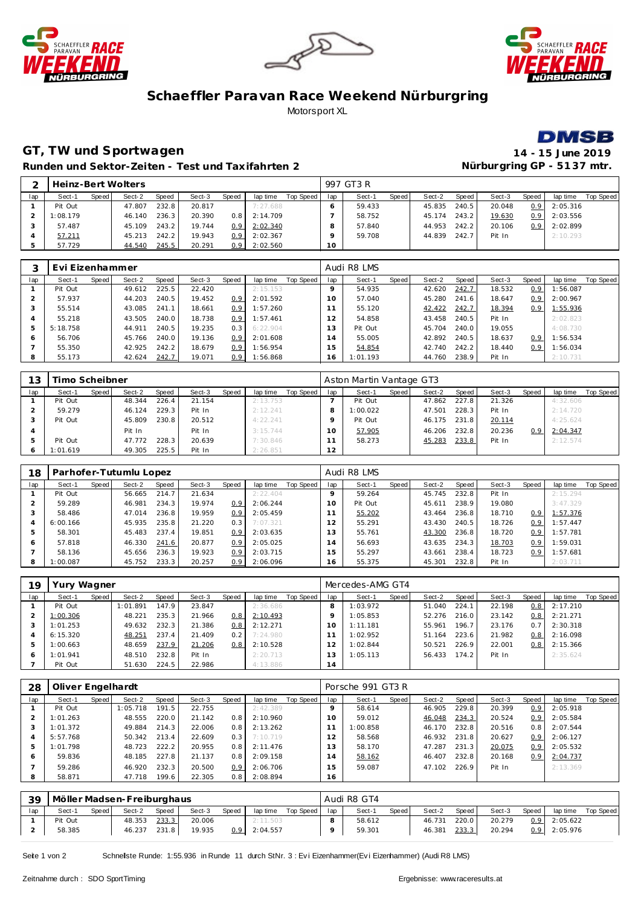





### **Schaeffler Paravan Race Weekend Nürburgring** Motorsport XL



# **GT, TW und Sportwagen 14 - 15 June 2019**

**Runden und Sektor-Zeiten - Test und Taxifahrten 2 Nürburgring GP - 51 37 mtr.**

|     |          |       | Heinz-Bert Wolters |       |        |       |          |           |     | 997 GT3 R |       |        |       |        |                  |          |           |
|-----|----------|-------|--------------------|-------|--------|-------|----------|-----------|-----|-----------|-------|--------|-------|--------|------------------|----------|-----------|
| lap | Sect-1   | Speed | Sect-2             | Speed | Sect-3 | Speed | lap time | Top Speed | lap | Sect-1    | Speed | Sect-2 | Speed | Sect-3 | Speed            | lap time | Top Speed |
|     | Pit Out  |       | 47.807             | 232.8 | 20.817 |       | 7:27.688 |           |     | 59.433    |       | 45.835 | 240.5 | 20.048 | 0.9 <sup>1</sup> | 2:05.316 |           |
|     | 1:08.179 |       | 46.140             | 236.3 | 20.390 | 0. 8  | 2:14.709 |           |     | 58.752    |       | 45.174 | 243.2 | 19.630 | 0.91             | 2:03.556 |           |
|     | 57.487   |       | 45.109             | 243.2 | 19.744 | 0.9   | 2:02.340 |           |     | 57.840    |       | 44.953 | 242.2 | 20.106 | 0.9              | 2:02.899 |           |
|     | 57.211   |       | 45.213             | 242.2 | 19.943 | 0.9   | 2:02.367 |           |     | 59.708    |       | 44.839 | 242.7 | Pit In |                  | 2:10.293 |           |
|     | 57.729   |       | 44.540             | 245.5 | 20.291 | 0.9   | 2:02.560 |           | 10  |           |       |        |       |        |                  |          |           |

|     | Evi Eizenhammer |       |        |       |        |                  |          |           |                | Audi R8 LMS |       |        |       |        |                  |          |           |
|-----|-----------------|-------|--------|-------|--------|------------------|----------|-----------|----------------|-------------|-------|--------|-------|--------|------------------|----------|-----------|
| lap | Sect-1          | Speed | Sect-2 | Speed | Sect-3 | Speed            | lap time | Top Speed | lap            | Sect-1      | Speed | Sect-2 | Speed | Sect-3 | Speed            | lap time | Top Speed |
|     | Pit Out         |       | 49.612 | 225.5 | 22.420 |                  | 2:15.153 |           |                | 54.935      |       | 42.620 | 242.7 | 18.532 | 0.9              | 1:56.087 |           |
|     | 57.937          |       | 44.203 | 240.5 | 19.452 | 0.9 <sub>2</sub> | 2:01.592 |           | $10^{-}$       | 57.040      |       | 45.280 | 241.6 | 18.647 | 0.9 <sup>°</sup> | 2:00.967 |           |
|     | 55.514          |       | 43.085 | 241.1 | 18.661 | 0.9              | 1:57.260 |           |                | 55.120      |       | 42.422 | 242.7 | 18.394 | 0.9 <sub>0</sub> | 1:55.936 |           |
|     | 55.218          |       | 43.505 | 240.0 | 18.738 | 0.9 <sup>°</sup> | 1:57.461 |           | $\mathcal{P}$  | 54.858      |       | 43.458 | 240.5 | Pit In |                  | 2:02.823 |           |
|     | 5:18.758        |       | 44.911 | 240.5 | 19.235 | 0.3              | 6:22.904 |           | 3              | Pit Out     |       | 45.704 | 240.0 | 19.055 |                  | 4:08.730 |           |
| c   | 56.706          |       | 45.766 | 240.0 | 19.136 | 0.9 <sub>2</sub> | 2:01.608 |           | $\overline{a}$ | 55.005      |       | 42.892 | 240.5 | 18.637 | 0.9              | 1:56.534 |           |
|     | 55.350          |       | 42.925 | 242.2 | 18.679 | 0.9 <sub>2</sub> | 1:56.954 |           | 5              | 54.854      |       | 42.740 | 242.2 | 18.440 | 0.9 <sup>°</sup> | 1:56.034 |           |
| 8   | 55.173          |       | 42.624 | 242.7 | 19.071 | 0.9 <sup>°</sup> | 1:56.868 |           | 16             | 1:01.193    |       | 44.760 | 238.9 | Pit In |                  | 2:10.731 |           |

|     | Timo Scheibner |       |        |       |        |       |          |           |      | Aston Martin Vantage GT3 |       |        |       |        |                  |          |           |
|-----|----------------|-------|--------|-------|--------|-------|----------|-----------|------|--------------------------|-------|--------|-------|--------|------------------|----------|-----------|
| lap | Sect-1         | Speed | Sect-2 | Speed | Sect-3 | Speed | lap time | Top Speed | lap  | Sect-1                   | Speed | Sect-2 | Speed | Sect-3 | Speed            | lap time | Top Speed |
|     | Pit Out        |       | 48.344 | 226.4 | 21.154 |       | 2:13.753 |           |      | Pit Out                  |       | 47.862 | 227.8 | 21.326 |                  | 4:32.606 |           |
|     | 59.279         |       | 46.124 | 229.3 | Pit In |       | 2:12.241 |           | 8    | 1:00.022                 |       | 47.501 | 228.3 | Pit In |                  | 2:14.720 |           |
|     | Pit Out        |       | 45.809 | 230.8 | 20.512 |       | 4:22.241 |           |      | Pit Out                  |       | 46.175 | 231.8 | 20.114 |                  | 4:25.624 |           |
|     |                |       | Pit In |       | Pit In |       | 3:15.744 |           | 1 ∩∴ | 57.905                   |       | 46.206 | 232.8 | 20.236 | 0.9 <sup>°</sup> | 2:04.347 |           |
|     | Pit Out        |       | 47.772 | 228.3 | 20.639 |       | 7:30.846 |           |      | 58.273                   |       | 45.283 | 233.8 | Pit In |                  | 2:12.574 |           |
|     | 1:01.619       |       | 49.305 | 225.5 | Pit In |       | 2:26.851 |           | 12   |                          |       |        |       |        |                  |          |           |

| 18  |          |       | Parhofer-Tutumlu Lopez |       |        |                  |          |           |     | Audi R8 LMS |       |        |       |        |                  |          |           |
|-----|----------|-------|------------------------|-------|--------|------------------|----------|-----------|-----|-------------|-------|--------|-------|--------|------------------|----------|-----------|
| lap | Sect-1   | Speed | Sect-2                 | Speed | Sect-3 | Speed            | lap time | Top Speed | lap | Sect-1      | Speed | Sect-2 | Speed | Sect-3 | Speed            | lap time | Top Speed |
|     | Pit Out  |       | 56.665                 | 214.7 | 21.634 |                  | 2:22.404 |           |     | 59.264      |       | 45.745 | 232.8 | Pit In |                  | 2:15.294 |           |
|     | 59.289   |       | 46.981                 | 234.3 | 19.974 | 0.9 <sup>1</sup> | 2:06.244 |           | 10. | Pit Out     |       | 45.611 | 238.9 | 19.080 |                  | 3:47.329 |           |
|     | 58.486   |       | 47.014                 | 236.8 | 19.959 | 0.91             | 2:05.459 |           |     | 55.202      |       | 43.464 | 236.8 | 18.710 | 0.9              | 1:57.376 |           |
| 4   | 6:00.166 |       | 45.935                 | 235.8 | 21.220 | 0.3              | 7:07.321 |           | 2٠  | 55.291      |       | 43.430 | 240.5 | 18.726 | 0.9              | 1:57.447 |           |
| .5  | 58.301   |       | 45.483                 | 237.4 | 19.851 | 0.9 <sup>1</sup> | 2:03.635 |           | 13  | 55.761      |       | 43.300 | 236.8 | 18.720 | 0.9              | 1:57.781 |           |
| 6   | 57.818   |       | 46.330                 | 241.6 | 20.877 | 0.91             | 2:05.025 |           | 14  | 56.693      |       | 43.635 | 234.3 | 18.703 | 0.9 <sub>0</sub> | 1:59.031 |           |
|     | 58.136   |       | 45.656                 | 236.3 | 19.923 | 0.9 <sup>1</sup> | 2:03.715 |           | 15  | 55.297      |       | 43.661 | 238.4 | 18.723 | 0.9 <sub>0</sub> | 1:57.681 |           |
| 8   | 1:00.087 |       | 45.752                 | 233.3 | 20.257 | 0.9 I            | 2:06.096 |           | 16  | 55.375      |       | 45.301 | 232.8 | Pit In |                  | 2:03.711 |           |

| 19  | ury Wagner |       |          |       |        |       |          |           |     | Mercedes-AMG GT4 |       |        |       |        |         |          |                  |
|-----|------------|-------|----------|-------|--------|-------|----------|-----------|-----|------------------|-------|--------|-------|--------|---------|----------|------------------|
| lap | Sect-1     | Speed | Sect-2   | Speed | Sect-3 | Speed | lap time | Top Speed | lap | Sect-1           | Speed | Sect-2 | Speed | Sect-3 | Speed ' | lap time | <b>Top Speed</b> |
|     | Pit Out    |       | 1:01.891 | 147.9 | 23.847 |       | 2:36.686 |           |     | 1:03.972         |       | 51.040 | 224.1 | 22.198 | 0.8     | 2:17.210 |                  |
|     | 1:00.306   |       | 48.221   | 235.3 | 21.966 | 0.8   | 2:10.493 |           |     | 1:05.853         |       | 52.276 | 216.0 | 23.142 | 0.8     | 2:21.271 |                  |
|     | 1:01.253   |       | 49.632   | 232.3 | 21.386 | 0.8   | 2:12.271 |           | 10  | 1:11.181         |       | 55.961 | 196.7 | 23.176 | 0.7     | 2:30.318 |                  |
|     | 6:15.320   |       | 48.251   | 237.4 | 21.409 | 0.2   | 7:24.980 |           |     | 1:02.952         |       | 51.164 | 223.6 | 21.982 | 0.8     | 2:16.098 |                  |
| ь   | 1:00.663   |       | 48.659   | 237.9 | 21.206 | 0.8   | 2:10.528 |           |     | 1:02.844         |       | 50.521 | 226.9 | 22.001 | 0.8     | 2:15.366 |                  |
| -6  | 1:01.941   |       | 48.510   | 232.8 | Pit In |       | 2:20.713 |           | 3   | 1:05.113         |       | 56.433 | 174.2 | Pit In |         | 2:35.624 |                  |
|     | Pit Out    |       | 51.630   | 224.5 | 22.986 |       | 4:13.886 |           | 14  |                  |       |        |       |        |         |          |                  |

| 28  | Oliver Engelhardt |       |          |       |        |                  |          |           |           | Porsche 991 GT3 R |       |        |       |        |       |          |                  |
|-----|-------------------|-------|----------|-------|--------|------------------|----------|-----------|-----------|-------------------|-------|--------|-------|--------|-------|----------|------------------|
| lap | Sect-1            | Speed | Sect-2   | Speed | Sect-3 | Speed            | lap time | Top Speed | lap       | Sect-1            | Speed | Sect-2 | Speed | Sect-3 | Speed | lap time | <b>Top Speed</b> |
|     | Pit Out           |       | 1:05.718 | 191.5 | 22.755 |                  | 2:42.389 |           |           | 58.614            |       | 46.905 | 229.8 | 20.399 | 0.9   | 2:05.918 |                  |
|     | 1:01.263          |       | 48.555   | 220.0 | 21.142 | 0.8              | 2:10.960 |           | $10^{-1}$ | 59.012            |       | 46.048 | 234.3 | 20.524 | 0.9   | 2:05.584 |                  |
|     | 1:01.372          |       | 49.884   | 214.3 | 22.006 | 0.8              | 2:13.262 |           |           | 1:00.858          |       | 46.170 | 232.8 | 20.516 | 0.8   | 2:07.544 |                  |
|     | 5:57.768          |       | 50.342   | 213.4 | 22.609 | 0.3              | 7:10.719 |           |           | 58.568            |       | 46.932 | 231.8 | 20.627 | 0.9   | 2:06.127 |                  |
|     | 1:01.798          |       | 48.723   | 222.2 | 20.955 | 0.8              | 2:11.476 |           | 3         | 58.170            |       | 47.287 | 231.3 | 20.075 | 0.9   | 2:05.532 |                  |
| ō   | 59.836            |       | 48.185   | 227.8 | 21.137 | 0.8              | 2:09.158 |           | 4         | 58.162            |       | 46.407 | 232.8 | 20.168 | 0.9   | 2:04.737 |                  |
|     | 59.286            |       | 46.920   | 232.3 | 20.500 | 0.9 <sup>°</sup> | 2:06.706 |           | 5         | 59.087            |       | 47.102 | 226.9 | Pit In |       | 2:13.369 |                  |
| 8   | 58.871            |       | 47.718   | 199.6 | 22.305 | 0.8              | 2:08.894 |           | 6         |                   |       |        |       |        |       |          |                  |

| 39  | Möller Madsen-Freiburghaus |       |        |       |        |       |          |           |     | Audi R8 GT4 |       |        |       |        |       |          |           |
|-----|----------------------------|-------|--------|-------|--------|-------|----------|-----------|-----|-------------|-------|--------|-------|--------|-------|----------|-----------|
| lap | Sect-1                     | Speed | Sect-2 | Speed | Sect-3 | Speed | lap time | Top Speed | lap | Sect-1      | Speed | Sect-2 | Speed | Sect-3 | Speed | lap time | Top Speed |
|     | Pit Out                    |       | 48.353 | 233.3 | 20.006 |       | 2:11.503 |           |     | 58.612      |       | 46.731 | 220.0 | 20.279 | 0.9   | 2:05.622 |           |
|     | 58.385                     |       | 46.237 | 231.8 | 19.935 | 0.9   | 2:04.557 |           |     | 59.301      |       | 46.381 | 233.3 | 20.294 | 0.9   | 2:05.976 |           |

Seite 1 von 2 Schnellste Runde: 1:55.936 in Runde 11 durch StNr. 3 : Evi Eizenhammer(Evi Eizenhammer) (Audi R8 LMS)